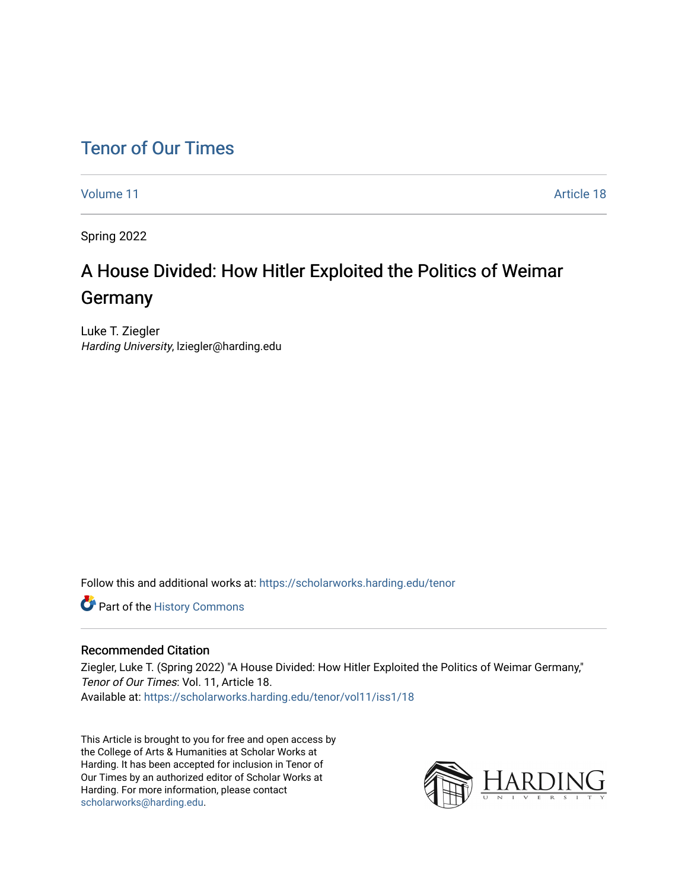## [Tenor of Our Times](https://scholarworks.harding.edu/tenor)

[Volume 11](https://scholarworks.harding.edu/tenor/vol11) Article 18

Spring 2022

## A House Divided: How Hitler Exploited the Politics of Weimar Germany

Luke T. Ziegler Harding University, lziegler@harding.edu

Follow this and additional works at: [https://scholarworks.harding.edu/tenor](https://scholarworks.harding.edu/tenor?utm_source=scholarworks.harding.edu%2Ftenor%2Fvol11%2Fiss1%2F18&utm_medium=PDF&utm_campaign=PDFCoverPages)

Part of the [History Commons](http://network.bepress.com/hgg/discipline/489?utm_source=scholarworks.harding.edu%2Ftenor%2Fvol11%2Fiss1%2F18&utm_medium=PDF&utm_campaign=PDFCoverPages) 

## Recommended Citation

Ziegler, Luke T. (Spring 2022) "A House Divided: How Hitler Exploited the Politics of Weimar Germany," Tenor of Our Times: Vol. 11, Article 18. Available at: [https://scholarworks.harding.edu/tenor/vol11/iss1/18](https://scholarworks.harding.edu/tenor/vol11/iss1/18?utm_source=scholarworks.harding.edu%2Ftenor%2Fvol11%2Fiss1%2F18&utm_medium=PDF&utm_campaign=PDFCoverPages) 

This Article is brought to you for free and open access by the College of Arts & Humanities at Scholar Works at Harding. It has been accepted for inclusion in Tenor of Our Times by an authorized editor of Scholar Works at Harding. For more information, please contact [scholarworks@harding.edu](mailto:scholarworks@harding.edu).

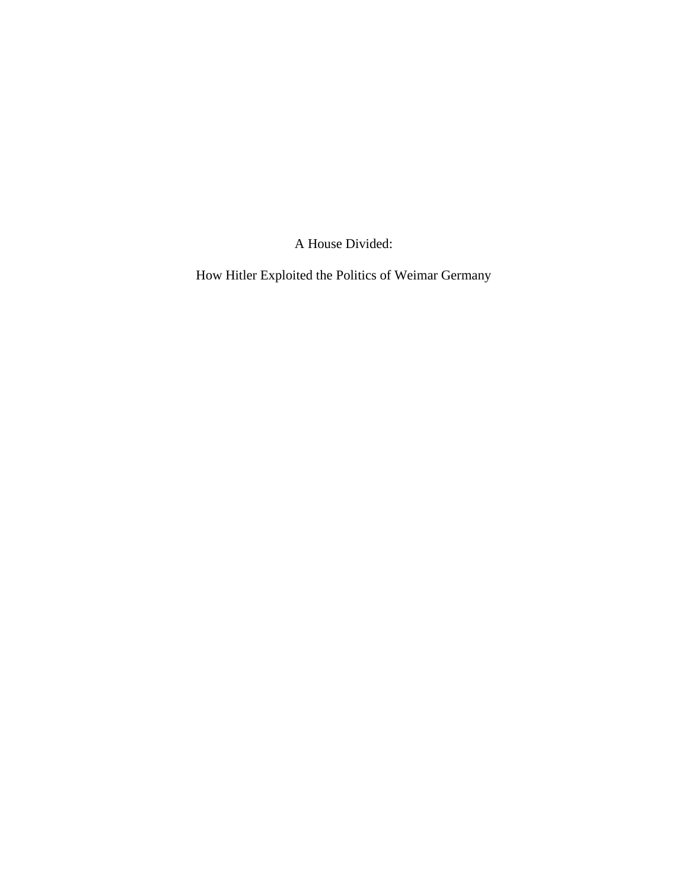A House Divided:

How Hitler Exploited the Politics of Weimar Germany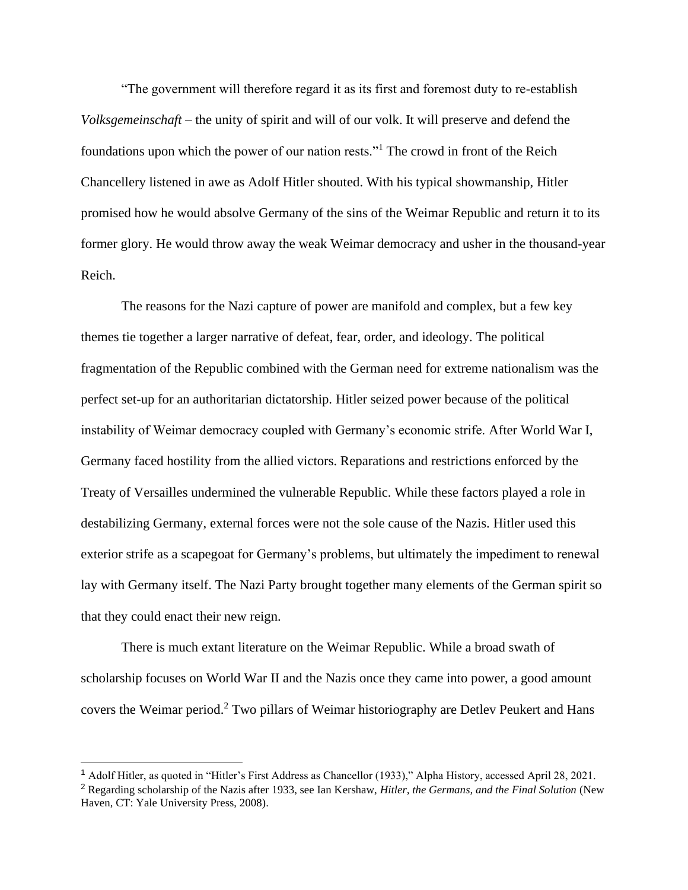"The government will therefore regard it as its first and foremost duty to re-establish *Volksgemeinschaft* – the unity of spirit and will of our volk. It will preserve and defend the foundations upon which the power of our nation rests."<sup>1</sup> The crowd in front of the Reich Chancellery listened in awe as Adolf Hitler shouted. With his typical showmanship, Hitler promised how he would absolve Germany of the sins of the Weimar Republic and return it to its former glory. He would throw away the weak Weimar democracy and usher in the thousand-year Reich.

The reasons for the Nazi capture of power are manifold and complex, but a few key themes tie together a larger narrative of defeat, fear, order, and ideology. The political fragmentation of the Republic combined with the German need for extreme nationalism was the perfect set-up for an authoritarian dictatorship. Hitler seized power because of the political instability of Weimar democracy coupled with Germany's economic strife. After World War I, Germany faced hostility from the allied victors. Reparations and restrictions enforced by the Treaty of Versailles undermined the vulnerable Republic. While these factors played a role in destabilizing Germany, external forces were not the sole cause of the Nazis. Hitler used this exterior strife as a scapegoat for Germany's problems, but ultimately the impediment to renewal lay with Germany itself. The Nazi Party brought together many elements of the German spirit so that they could enact their new reign.

There is much extant literature on the Weimar Republic. While a broad swath of scholarship focuses on World War II and the Nazis once they came into power, a good amount covers the Weimar period.<sup>2</sup> Two pillars of Weimar historiography are Detlev Peukert and Hans

<sup>1</sup> Adolf Hitler, as quoted in "Hitler's First Address as Chancellor (1933)," Alpha History, accessed April 28, 2021.

<sup>2</sup> Regarding scholarship of the Nazis after 1933, see Ian Kershaw, *Hitler, the Germans, and the Final Solution* (New Haven, CT: Yale University Press, 2008).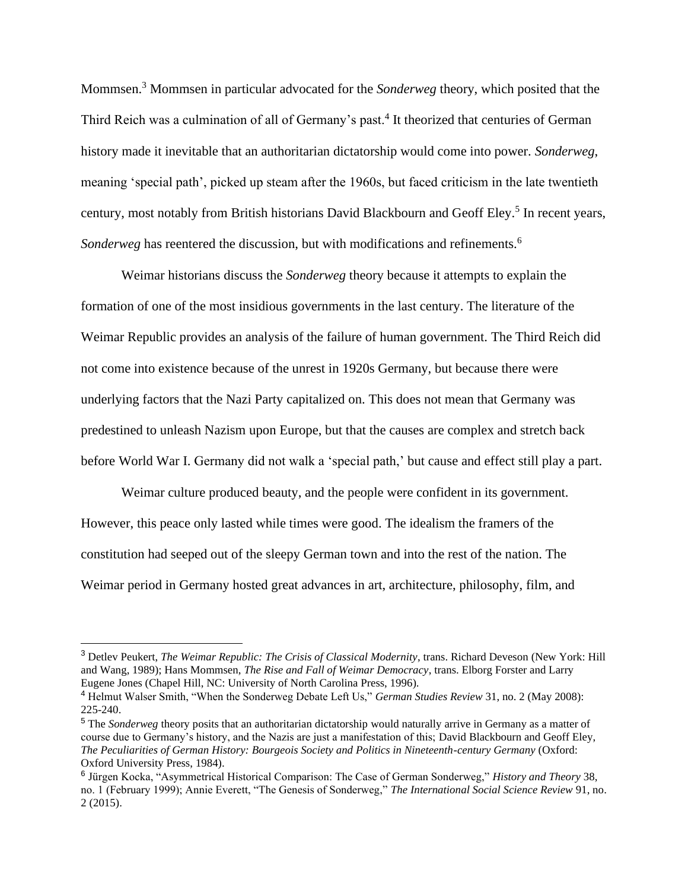Mommsen.<sup>3</sup> Mommsen in particular advocated for the *Sonderweg* theory, which posited that the Third Reich was a culmination of all of Germany's past.<sup>4</sup> It theorized that centuries of German history made it inevitable that an authoritarian dictatorship would come into power. *Sonderweg*, meaning 'special path', picked up steam after the 1960s, but faced criticism in the late twentieth century, most notably from British historians David Blackbourn and Geoff Eley.<sup>5</sup> In recent years, *Sonderweg* has reentered the discussion, but with modifications and refinements.<sup>6</sup>

Weimar historians discuss the *Sonderweg* theory because it attempts to explain the formation of one of the most insidious governments in the last century. The literature of the Weimar Republic provides an analysis of the failure of human government. The Third Reich did not come into existence because of the unrest in 1920s Germany, but because there were underlying factors that the Nazi Party capitalized on. This does not mean that Germany was predestined to unleash Nazism upon Europe, but that the causes are complex and stretch back before World War I. Germany did not walk a 'special path,' but cause and effect still play a part.

Weimar culture produced beauty, and the people were confident in its government. However, this peace only lasted while times were good. The idealism the framers of the constitution had seeped out of the sleepy German town and into the rest of the nation. The Weimar period in Germany hosted great advances in art, architecture, philosophy, film, and

<sup>3</sup> Detlev Peukert, *The Weimar Republic: The Crisis of Classical Modernity*, trans. Richard Deveson (New York: Hill and Wang, 1989); Hans Mommsen, *The Rise and Fall of Weimar Democracy*, trans. Elborg Forster and Larry Eugene Jones (Chapel Hill, NC: University of North Carolina Press, 1996).

<sup>4</sup> Helmut Walser Smith, "When the Sonderweg Debate Left Us," *German Studies Review* 31, no. 2 (May 2008): 225-240.

<sup>5</sup> The *Sonderweg* theory posits that an authoritarian dictatorship would naturally arrive in Germany as a matter of course due to Germany's history, and the Nazis are just a manifestation of this; David Blackbourn and Geoff Eley, *The Peculiarities of German History: Bourgeois Society and Politics in Nineteenth-century Germany* (Oxford: Oxford University Press, 1984).

<sup>6</sup> Jürgen Kocka, "Asymmetrical Historical Comparison: The Case of German Sonderweg," *History and Theory* 38, no. 1 (February 1999); Annie Everett, "The Genesis of Sonderweg," *The International Social Science Review* 91, no. 2 (2015).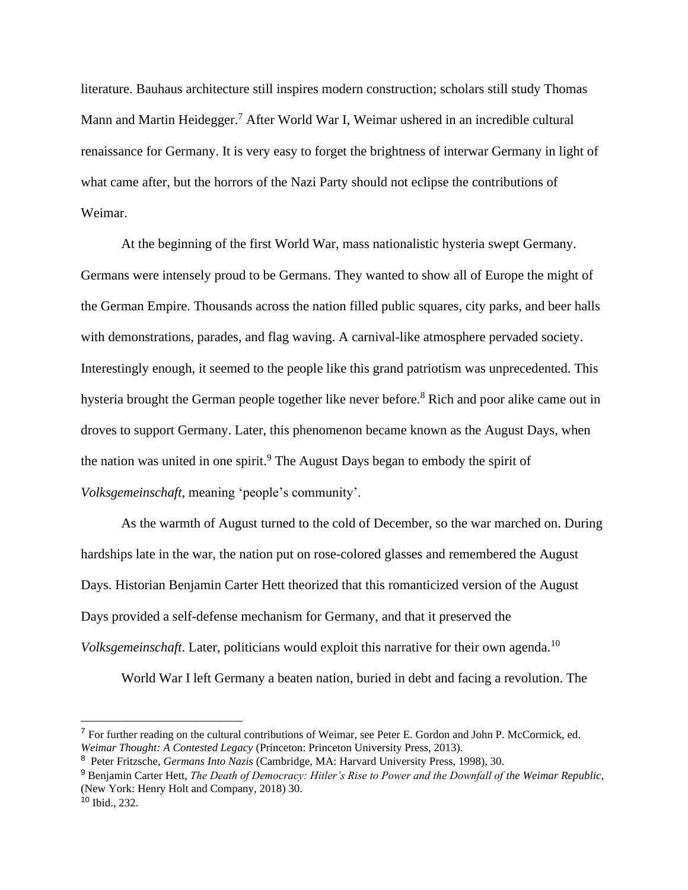literature. Bauhaus architecture still inspires modern construction; scholars still study Thomas Mann and Martin Heidegger.<sup>7</sup> After World War I, Weimar ushered in an incredible cultural renaissance for Germany. It is very easy to forget the brightness of interwar Germany in light of what came after, but the horrors of the Nazi Party should not eclipse the contributions of Weimar.

At the beginning of the first World War, mass nationalistic hysteria swept Germany. Germans were intensely proud to be Germans. They wanted to show all of Europe the might of the German Empire. Thousands across the nation filled public squares, city parks, and beer halls with demonstrations, parades, and flag waving. A carnival-like atmosphere pervaded society. Interestingly enough, it seemed to the people like this grand patriotism was unprecedented. This hysteria brought the German people together like never before.<sup>8</sup> Rich and poor alike came out in droves to support Germany. Later, this phenomenon became known as the August Days, when the nation was united in one spirit.<sup>9</sup> The August Days began to embody the spirit of *Volksgemeinschaft*, meaning 'people's community'.

As the warmth of August turned to the cold of December, so the war marched on. During hardships late in the war, the nation put on rose-colored glasses and remembered the August Days. Historian Benjamin Carter Hett theorized that this romanticized version of the August Days provided a self-defense mechanism for Germany, and that it preserved the *Volksgemeinschaft*. Later, politicians would exploit this narrative for their own agenda.<sup>10</sup>

World War I left Germany a beaten nation, buried in debt and facing a revolution. The

<sup>&</sup>lt;sup>7</sup> For further reading on the cultural contributions of Weimar, see Peter E. Gordon and John P. McCormick, ed. *Weimar Thought: A Contested Legacy* (Princeton: Princeton University Press, 2013).

<sup>8</sup> Peter Fritzsche, *Germans Into Nazis* (Cambridge, MA: Harvard University Press, 1998), 30.

<sup>9</sup> Benjamin Carter Hett, *The Death of Democracy: Hitler's Rise to Power and the Downfall of the Weimar Republic*, (New York: Henry Holt and Company, 2018) 30.

<sup>10</sup> Ibid., 232.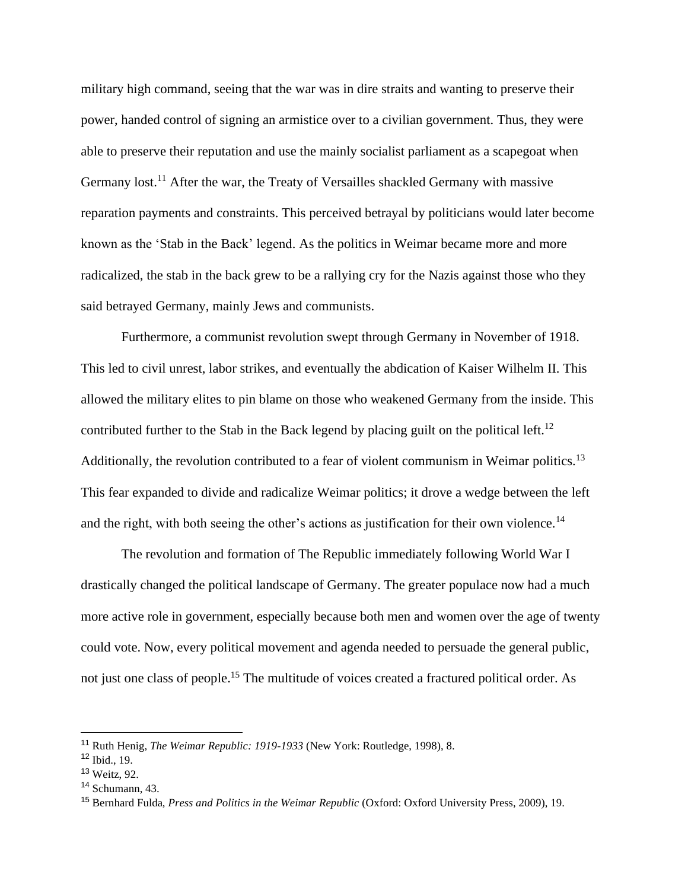military high command, seeing that the war was in dire straits and wanting to preserve their power, handed control of signing an armistice over to a civilian government. Thus, they were able to preserve their reputation and use the mainly socialist parliament as a scapegoat when Germany lost.<sup>11</sup> After the war, the Treaty of Versailles shackled Germany with massive reparation payments and constraints. This perceived betrayal by politicians would later become known as the 'Stab in the Back' legend. As the politics in Weimar became more and more radicalized, the stab in the back grew to be a rallying cry for the Nazis against those who they said betrayed Germany, mainly Jews and communists.

Furthermore, a communist revolution swept through Germany in November of 1918. This led to civil unrest, labor strikes, and eventually the abdication of Kaiser Wilhelm II. This allowed the military elites to pin blame on those who weakened Germany from the inside. This contributed further to the Stab in the Back legend by placing guilt on the political left.<sup>12</sup> Additionally, the revolution contributed to a fear of violent communism in Weimar politics.<sup>13</sup> This fear expanded to divide and radicalize Weimar politics; it drove a wedge between the left and the right, with both seeing the other's actions as justification for their own violence.<sup>14</sup>

The revolution and formation of The Republic immediately following World War I drastically changed the political landscape of Germany. The greater populace now had a much more active role in government, especially because both men and women over the age of twenty could vote. Now, every political movement and agenda needed to persuade the general public, not just one class of people.<sup>15</sup> The multitude of voices created a fractured political order. As

<sup>11</sup> Ruth Henig, *The Weimar Republic: 1919-1933* (New York: Routledge, 1998), 8.

<sup>12</sup> Ibid., 19.

<sup>13</sup> Weitz, 92.

<sup>14</sup> Schumann, 43.

<sup>15</sup> Bernhard Fulda, *Press and Politics in the Weimar Republic* (Oxford: Oxford University Press, 2009), 19.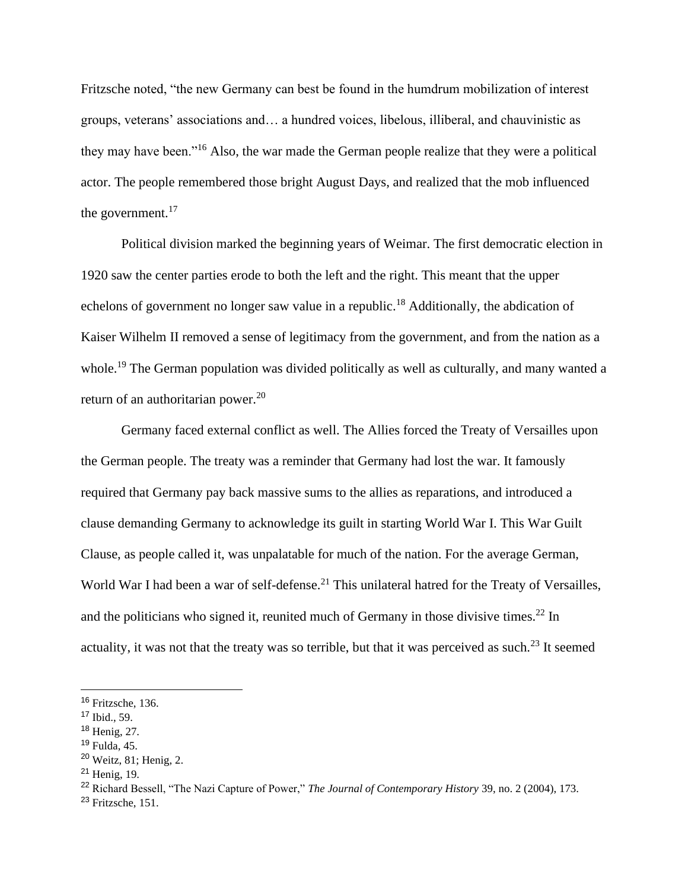Fritzsche noted, "the new Germany can best be found in the humdrum mobilization of interest groups, veterans' associations and… a hundred voices, libelous, illiberal, and chauvinistic as they may have been."<sup>16</sup> Also, the war made the German people realize that they were a political actor. The people remembered those bright August Days, and realized that the mob influenced the government.<sup>17</sup>

Political division marked the beginning years of Weimar. The first democratic election in 1920 saw the center parties erode to both the left and the right. This meant that the upper echelons of government no longer saw value in a republic.<sup>18</sup> Additionally, the abdication of Kaiser Wilhelm II removed a sense of legitimacy from the government, and from the nation as a whole.<sup>19</sup> The German population was divided politically as well as culturally, and many wanted a return of an authoritarian power.<sup>20</sup>

Germany faced external conflict as well. The Allies forced the Treaty of Versailles upon the German people. The treaty was a reminder that Germany had lost the war. It famously required that Germany pay back massive sums to the allies as reparations, and introduced a clause demanding Germany to acknowledge its guilt in starting World War I. This War Guilt Clause, as people called it, was unpalatable for much of the nation. For the average German, World War I had been a war of self-defense.<sup>21</sup> This unilateral hatred for the Treaty of Versailles, and the politicians who signed it, reunited much of Germany in those divisive times.<sup>22</sup> In actuality, it was not that the treaty was so terrible, but that it was perceived as such.<sup>23</sup> It seemed

- <sup>18</sup> Henig, 27.
- <sup>19</sup> Fulda, 45.

<sup>&</sup>lt;sup>16</sup> Fritzsche, 136.

<sup>17</sup> Ibid., 59.

<sup>20</sup> Weitz, 81; Henig, 2.

<sup>21</sup> Henig, 19.

<sup>22</sup> Richard Bessell, "The Nazi Capture of Power," *The Journal of Contemporary History* 39, no. 2 (2004), 173.

<sup>23</sup> Fritzsche, 151.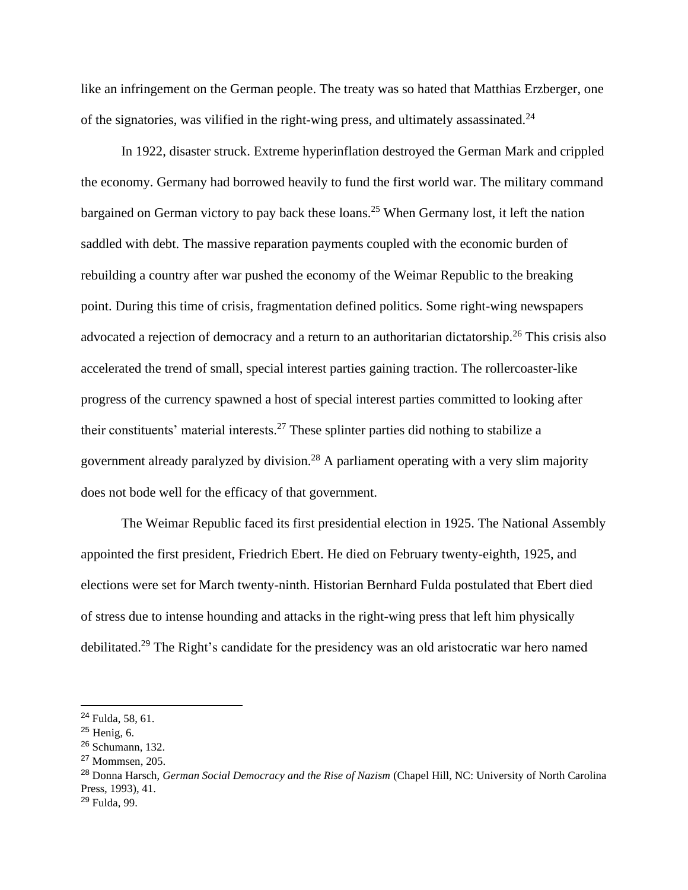like an infringement on the German people. The treaty was so hated that Matthias Erzberger, one of the signatories, was vilified in the right-wing press, and ultimately assassinated.<sup>24</sup>

In 1922, disaster struck. Extreme hyperinflation destroyed the German Mark and crippled the economy. Germany had borrowed heavily to fund the first world war. The military command bargained on German victory to pay back these loans.<sup>25</sup> When Germany lost, it left the nation saddled with debt. The massive reparation payments coupled with the economic burden of rebuilding a country after war pushed the economy of the Weimar Republic to the breaking point. During this time of crisis, fragmentation defined politics. Some right-wing newspapers advocated a rejection of democracy and a return to an authoritarian dictatorship.<sup>26</sup> This crisis also accelerated the trend of small, special interest parties gaining traction. The rollercoaster-like progress of the currency spawned a host of special interest parties committed to looking after their constituents' material interests.<sup>27</sup> These splinter parties did nothing to stabilize a government already paralyzed by division.<sup>28</sup> A parliament operating with a very slim majority does not bode well for the efficacy of that government.

The Weimar Republic faced its first presidential election in 1925. The National Assembly appointed the first president, Friedrich Ebert. He died on February twenty-eighth, 1925, and elections were set for March twenty-ninth. Historian Bernhard Fulda postulated that Ebert died of stress due to intense hounding and attacks in the right-wing press that left him physically debilitated.<sup>29</sup> The Right's candidate for the presidency was an old aristocratic war hero named

<sup>24</sup> Fulda, 58, 61.

<sup>25</sup> Henig, 6.

<sup>26</sup> Schumann, 132.

<sup>27</sup> Mommsen, 205.

<sup>28</sup> Donna Harsch, *German Social Democracy and the Rise of Nazism* (Chapel Hill, NC: University of North Carolina Press, 1993), 41.

<sup>29</sup> Fulda, 99.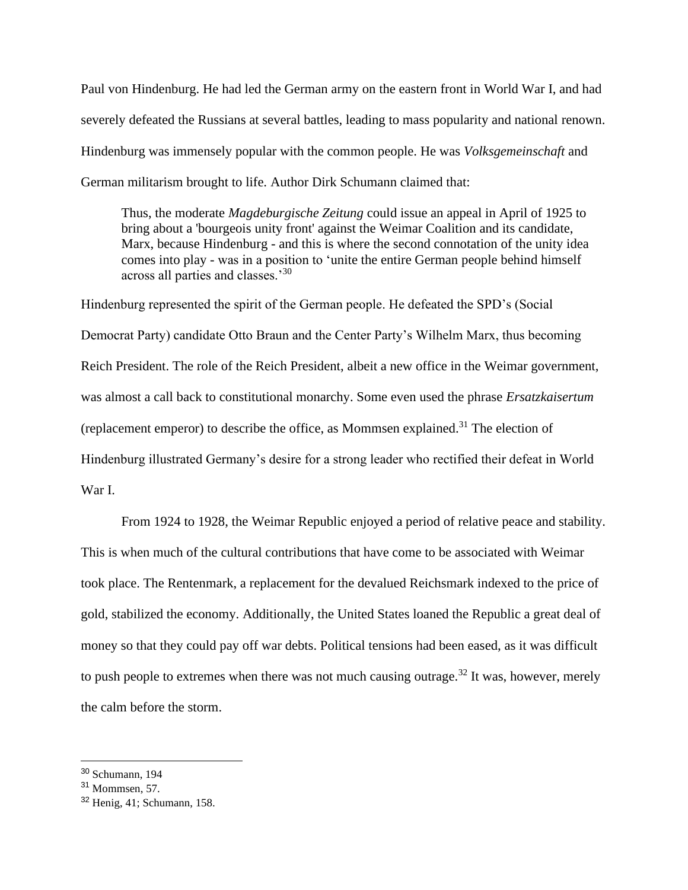Paul von Hindenburg. He had led the German army on the eastern front in World War I, and had severely defeated the Russians at several battles, leading to mass popularity and national renown. Hindenburg was immensely popular with the common people. He was *Volksgemeinschaft* and German militarism brought to life. Author Dirk Schumann claimed that:

Thus, the moderate *Magdeburgische Zeitung* could issue an appeal in April of 1925 to bring about a 'bourgeois unity front' against the Weimar Coalition and its candidate, Marx, because Hindenburg - and this is where the second connotation of the unity idea comes into play - was in a position to 'unite the entire German people behind himself across all parties and classes.'<sup>30</sup>

Hindenburg represented the spirit of the German people. He defeated the SPD's (Social Democrat Party) candidate Otto Braun and the Center Party's Wilhelm Marx, thus becoming Reich President. The role of the Reich President, albeit a new office in the Weimar government, was almost a call back to constitutional monarchy. Some even used the phrase *Ersatzkaisertum* (replacement emperor) to describe the office, as Mommsen explained.<sup>31</sup> The election of Hindenburg illustrated Germany's desire for a strong leader who rectified their defeat in World War I.

From 1924 to 1928, the Weimar Republic enjoyed a period of relative peace and stability. This is when much of the cultural contributions that have come to be associated with Weimar took place. The Rentenmark, a replacement for the devalued Reichsmark indexed to the price of gold, stabilized the economy. Additionally, the United States loaned the Republic a great deal of money so that they could pay off war debts. Political tensions had been eased, as it was difficult to push people to extremes when there was not much causing outrage.<sup>32</sup> It was, however, merely the calm before the storm.

<sup>30</sup> Schumann, 194

<sup>31</sup> Mommsen, 57.

<sup>32</sup> Henig, 41; Schumann, 158.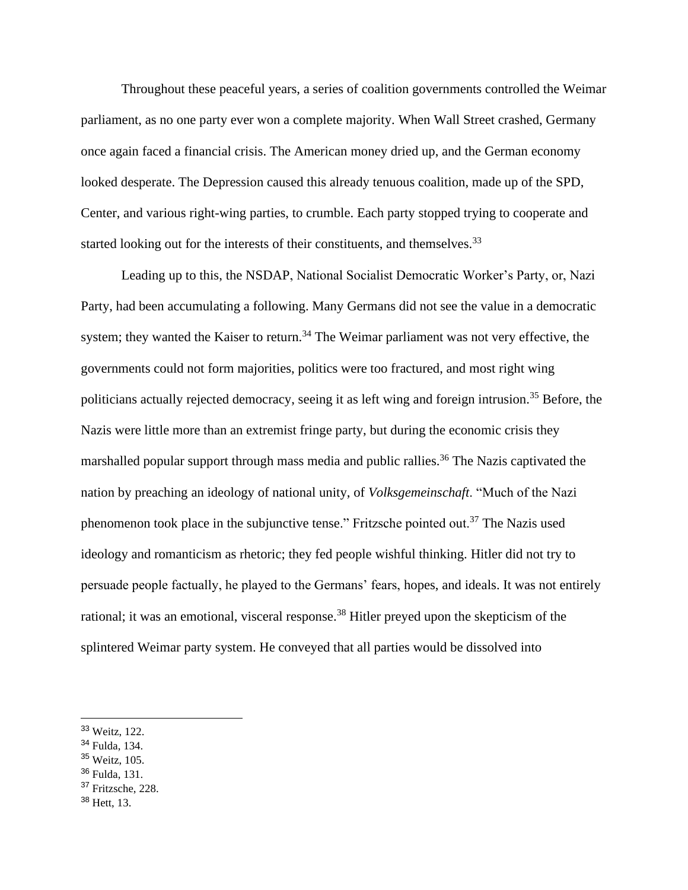Throughout these peaceful years, a series of coalition governments controlled the Weimar parliament, as no one party ever won a complete majority. When Wall Street crashed, Germany once again faced a financial crisis. The American money dried up, and the German economy looked desperate. The Depression caused this already tenuous coalition, made up of the SPD, Center, and various right-wing parties, to crumble. Each party stopped trying to cooperate and started looking out for the interests of their constituents, and themselves.<sup>33</sup>

Leading up to this, the NSDAP, National Socialist Democratic Worker's Party, or, Nazi Party, had been accumulating a following. Many Germans did not see the value in a democratic system; they wanted the Kaiser to return.<sup>34</sup> The Weimar parliament was not very effective, the governments could not form majorities, politics were too fractured, and most right wing politicians actually rejected democracy, seeing it as left wing and foreign intrusion.<sup>35</sup> Before, the Nazis were little more than an extremist fringe party, but during the economic crisis they marshalled popular support through mass media and public rallies.<sup>36</sup> The Nazis captivated the nation by preaching an ideology of national unity, of *Volksgemeinschaft*. "Much of the Nazi phenomenon took place in the subjunctive tense." Fritzsche pointed out.<sup>37</sup> The Nazis used ideology and romanticism as rhetoric; they fed people wishful thinking. Hitler did not try to persuade people factually, he played to the Germans' fears, hopes, and ideals. It was not entirely rational; it was an emotional, visceral response.<sup>38</sup> Hitler preyed upon the skepticism of the splintered Weimar party system. He conveyed that all parties would be dissolved into

- <sup>34</sup> Fulda, 134.
- <sup>35</sup> Weitz, 105.
- <sup>36</sup> Fulda, 131.
- <sup>37</sup> Fritzsche, 228.
- <sup>38</sup> Hett, 13.

<sup>33</sup> Weitz, 122.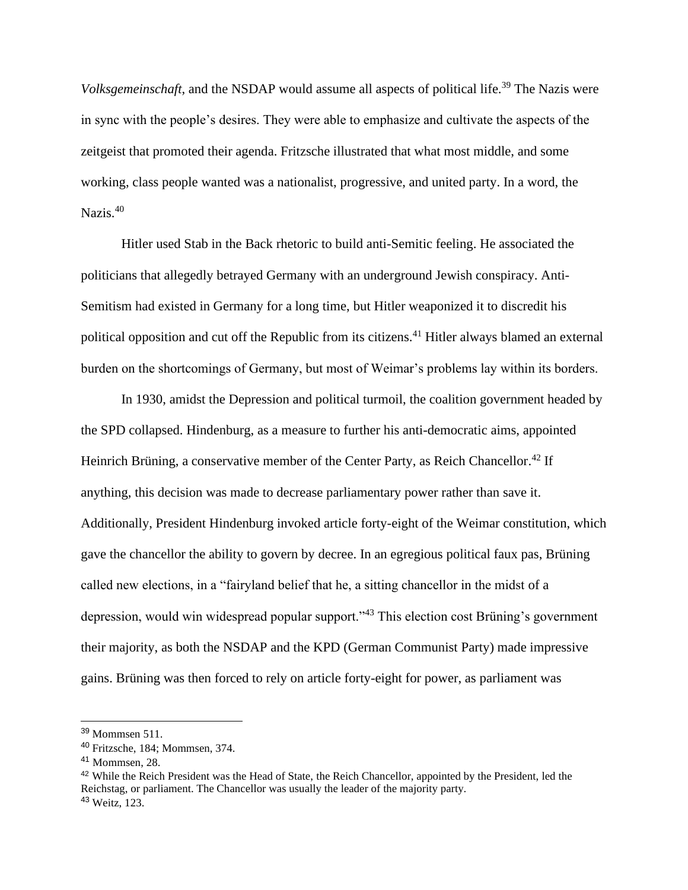*Volksgemeinschaft*, and the NSDAP would assume all aspects of political life.<sup>39</sup> The Nazis were in sync with the people's desires. They were able to emphasize and cultivate the aspects of the zeitgeist that promoted their agenda. Fritzsche illustrated that what most middle, and some working, class people wanted was a nationalist, progressive, and united party. In a word, the Nazis.<sup>40</sup>

Hitler used Stab in the Back rhetoric to build anti-Semitic feeling. He associated the politicians that allegedly betrayed Germany with an underground Jewish conspiracy. Anti-Semitism had existed in Germany for a long time, but Hitler weaponized it to discredit his political opposition and cut off the Republic from its citizens.<sup>41</sup> Hitler always blamed an external burden on the shortcomings of Germany, but most of Weimar's problems lay within its borders.

In 1930, amidst the Depression and political turmoil, the coalition government headed by the SPD collapsed. Hindenburg, as a measure to further his anti-democratic aims, appointed Heinrich Brüning, a conservative member of the Center Party, as Reich Chancellor.<sup>42</sup> If anything, this decision was made to decrease parliamentary power rather than save it. Additionally, President Hindenburg invoked article forty-eight of the Weimar constitution, which gave the chancellor the ability to govern by decree. In an egregious political faux pas, Brüning called new elections, in a "fairyland belief that he, a sitting chancellor in the midst of a depression, would win widespread popular support."<sup>43</sup> This election cost Brüning's government their majority, as both the NSDAP and the KPD (German Communist Party) made impressive gains. Brüning was then forced to rely on article forty-eight for power, as parliament was

<sup>39</sup> Mommsen 511.

<sup>40</sup> Fritzsche, 184; Mommsen, 374.

<sup>41</sup> Mommsen, 28.

<sup>&</sup>lt;sup>42</sup> While the Reich President was the Head of State, the Reich Chancellor, appointed by the President, led the Reichstag, or parliament. The Chancellor was usually the leader of the majority party. <sup>43</sup> Weitz, 123.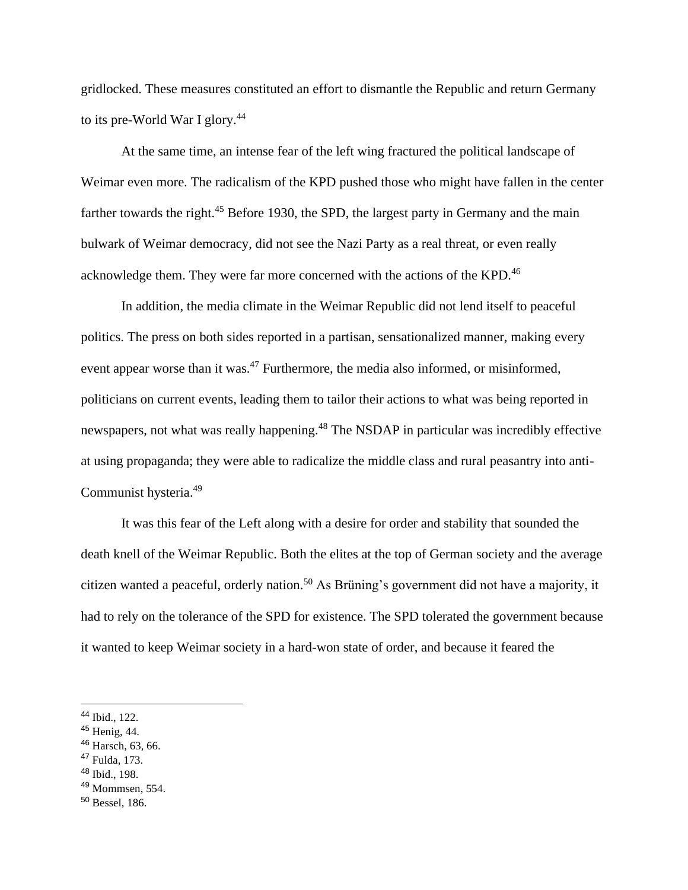gridlocked. These measures constituted an effort to dismantle the Republic and return Germany to its pre-World War I glory.<sup>44</sup>

At the same time, an intense fear of the left wing fractured the political landscape of Weimar even more. The radicalism of the KPD pushed those who might have fallen in the center farther towards the right.<sup>45</sup> Before 1930, the SPD, the largest party in Germany and the main bulwark of Weimar democracy, did not see the Nazi Party as a real threat, or even really acknowledge them. They were far more concerned with the actions of the KPD.<sup>46</sup>

In addition, the media climate in the Weimar Republic did not lend itself to peaceful politics. The press on both sides reported in a partisan, sensationalized manner, making every event appear worse than it was.<sup>47</sup> Furthermore, the media also informed, or misinformed, politicians on current events, leading them to tailor their actions to what was being reported in newspapers, not what was really happening.<sup>48</sup> The NSDAP in particular was incredibly effective at using propaganda; they were able to radicalize the middle class and rural peasantry into anti-Communist hysteria.<sup>49</sup>

It was this fear of the Left along with a desire for order and stability that sounded the death knell of the Weimar Republic. Both the elites at the top of German society and the average citizen wanted a peaceful, orderly nation.<sup>50</sup> As Brüning's government did not have a majority, it had to rely on the tolerance of the SPD for existence. The SPD tolerated the government because it wanted to keep Weimar society in a hard-won state of order, and because it feared the

- <sup>47</sup> Fulda, 173.
- <sup>48</sup> Ibid., 198.

<sup>44</sup> Ibid., 122.

<sup>45</sup> Henig, 44.

<sup>46</sup> Harsch, 63, 66.

<sup>49</sup> Mommsen, 554.

<sup>50</sup> Bessel, 186.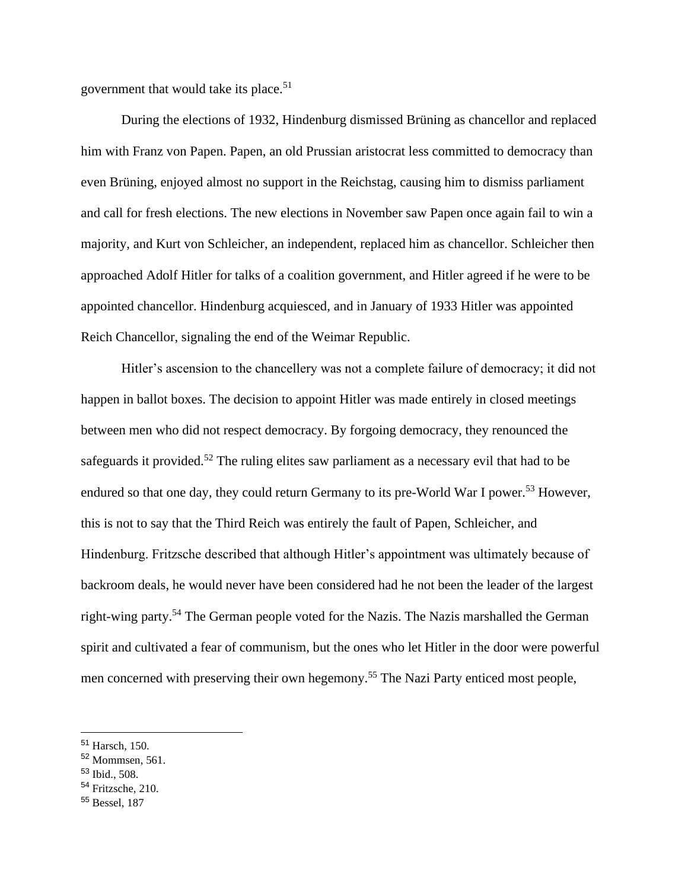government that would take its place.<sup>51</sup>

During the elections of 1932, Hindenburg dismissed Brüning as chancellor and replaced him with Franz von Papen. Papen, an old Prussian aristocrat less committed to democracy than even Brüning, enjoyed almost no support in the Reichstag, causing him to dismiss parliament and call for fresh elections. The new elections in November saw Papen once again fail to win a majority, and Kurt von Schleicher, an independent, replaced him as chancellor. Schleicher then approached Adolf Hitler for talks of a coalition government, and Hitler agreed if he were to be appointed chancellor. Hindenburg acquiesced, and in January of 1933 Hitler was appointed Reich Chancellor, signaling the end of the Weimar Republic.

Hitler's ascension to the chancellery was not a complete failure of democracy; it did not happen in ballot boxes. The decision to appoint Hitler was made entirely in closed meetings between men who did not respect democracy. By forgoing democracy, they renounced the safeguards it provided.<sup>52</sup> The ruling elites saw parliament as a necessary evil that had to be endured so that one day, they could return Germany to its pre-World War I power.<sup>53</sup> However, this is not to say that the Third Reich was entirely the fault of Papen, Schleicher, and Hindenburg. Fritzsche described that although Hitler's appointment was ultimately because of backroom deals, he would never have been considered had he not been the leader of the largest right-wing party.<sup>54</sup> The German people voted for the Nazis. The Nazis marshalled the German spirit and cultivated a fear of communism, but the ones who let Hitler in the door were powerful men concerned with preserving their own hegemony.<sup>55</sup> The Nazi Party enticed most people,

<sup>51</sup> Harsch, 150.

<sup>52</sup> Mommsen, 561.

<sup>53</sup> Ibid., 508.

<sup>54</sup> Fritzsche, 210.

<sup>55</sup> Bessel, 187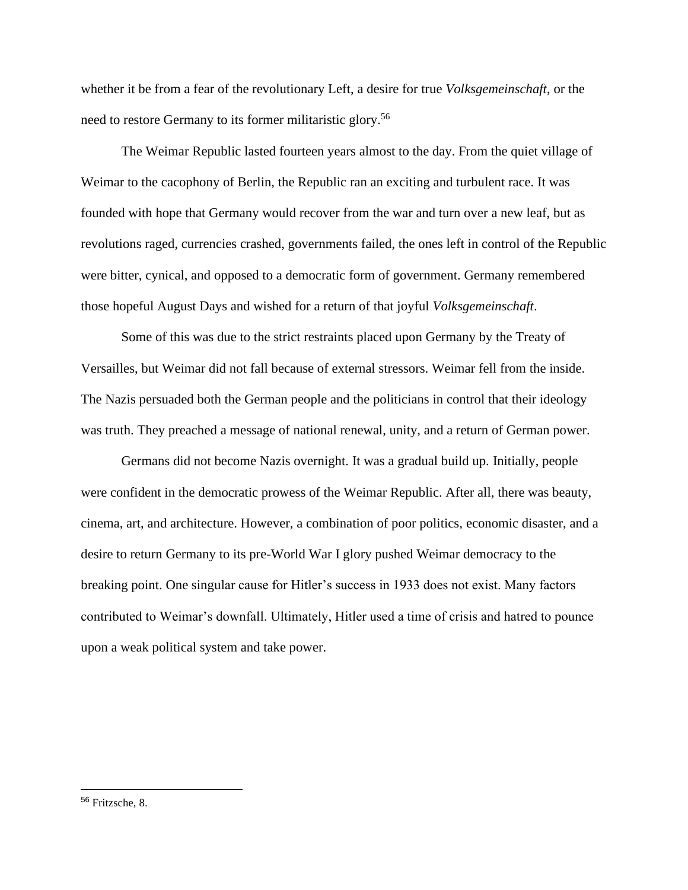whether it be from a fear of the revolutionary Left, a desire for true *Volksgemeinschaft*, or the need to restore Germany to its former militaristic glory.<sup>56</sup>

The Weimar Republic lasted fourteen years almost to the day. From the quiet village of Weimar to the cacophony of Berlin, the Republic ran an exciting and turbulent race. It was founded with hope that Germany would recover from the war and turn over a new leaf, but as revolutions raged, currencies crashed, governments failed, the ones left in control of the Republic were bitter, cynical, and opposed to a democratic form of government. Germany remembered those hopeful August Days and wished for a return of that joyful *Volksgemeinschaft*.

Some of this was due to the strict restraints placed upon Germany by the Treaty of Versailles, but Weimar did not fall because of external stressors. Weimar fell from the inside. The Nazis persuaded both the German people and the politicians in control that their ideology was truth. They preached a message of national renewal, unity, and a return of German power.

Germans did not become Nazis overnight. It was a gradual build up. Initially, people were confident in the democratic prowess of the Weimar Republic. After all, there was beauty, cinema, art, and architecture. However, a combination of poor politics, economic disaster, and a desire to return Germany to its pre-World War I glory pushed Weimar democracy to the breaking point. One singular cause for Hitler's success in 1933 does not exist. Many factors contributed to Weimar's downfall. Ultimately, Hitler used a time of crisis and hatred to pounce upon a weak political system and take power.

<sup>56</sup> Fritzsche, 8.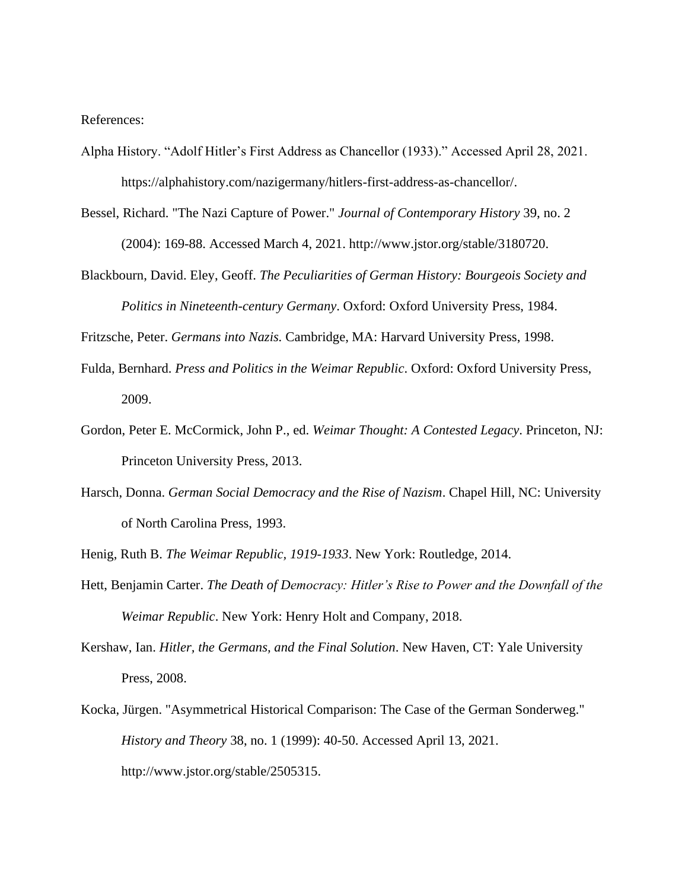References:

- Alpha History. "Adolf Hitler's First Address as Chancellor (1933)." Accessed April 28, 2021. https://alphahistory.com/nazigermany/hitlers-first-address-as-chancellor/.
- Bessel, Richard. "The Nazi Capture of Power." *Journal of Contemporary History* 39, no. 2 (2004): 169-88. Accessed March 4, 2021. http://www.jstor.org/stable/3180720.
- Blackbourn, David. Eley, Geoff. *The Peculiarities of German History: Bourgeois Society and Politics in Nineteenth-century Germany*. Oxford: Oxford University Press, 1984.

Fritzsche, Peter. *Germans into Nazis.* Cambridge, MA: Harvard University Press, 1998.

- Fulda, Bernhard. *Press and Politics in the Weimar Republic*. Oxford: Oxford University Press, 2009.
- Gordon, Peter E. McCormick, John P., ed. *Weimar Thought: A Contested Legacy*. Princeton, NJ: Princeton University Press, 2013.
- Harsch, Donna. *German Social Democracy and the Rise of Nazism*. Chapel Hill, NC: University of North Carolina Press, 1993.
- Henig, Ruth B. *The Weimar Republic, 1919-1933*. New York: Routledge, 2014.
- Hett, Benjamin Carter. *The Death of Democracy: Hitler's Rise to Power and the Downfall of the Weimar Republic*. New York: Henry Holt and Company, 2018.
- Kershaw, Ian. *Hitler, the Germans, and the Final Solution*. New Haven, CT: Yale University Press, 2008.
- Kocka, Jürgen. "Asymmetrical Historical Comparison: The Case of the German Sonderweg." *History and Theory* 38, no. 1 (1999): 40-50. Accessed April 13, 2021. http://www.jstor.org/stable/2505315.